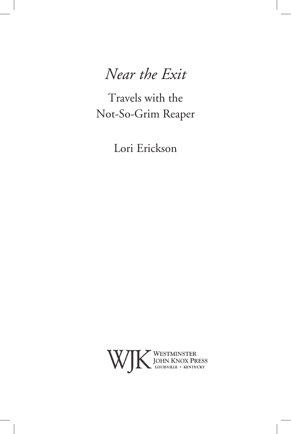# *Near the Exit*

Travels with the Not-So-Grim Reaper

Lori Erickson

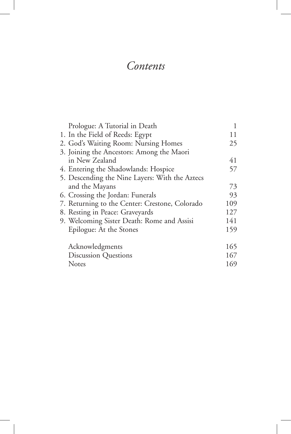### *Contents*

| Prologue: A Tutorial in Death                  |     |
|------------------------------------------------|-----|
| 1. In the Field of Reeds: Egypt                | 11  |
| 2. God's Waiting Room: Nursing Homes           | 25  |
| 3. Joining the Ancestors: Among the Maori      |     |
| in New Zealand                                 | 41  |
| 4. Entering the Shadowlands: Hospice           | 57  |
| 5. Descending the Nine Layers: With the Aztecs |     |
| and the Mayans                                 | 73  |
| 6. Crossing the Jordan: Funerals               | 93  |
| 7. Returning to the Center: Crestone, Colorado | 109 |
| 8. Resting in Peace: Graveyards                | 127 |
| 9. Welcoming Sister Death: Rome and Assisi     | 141 |
| Epilogue: At the Stones                        | 159 |
| Acknowledgments                                | 165 |
| <b>Discussion Questions</b>                    | 167 |
| Notes                                          | 169 |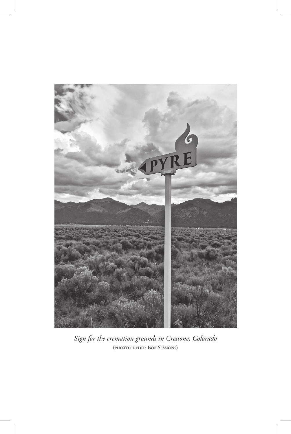

*Sign for the cremation grounds in Crestone, Colorado*  (photo credit: Bob Sessions)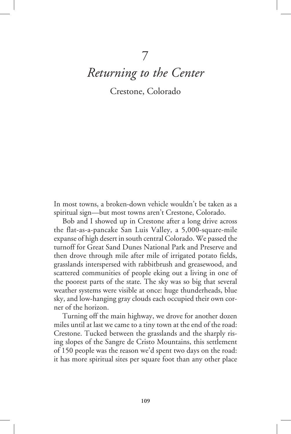## 7 *Returning to the Center*

Crestone, Colorado

In most towns, a broken-down vehicle wouldn't be taken as a spiritual sign—but most towns aren't Crestone, Colorado.

Bob and I showed up in Crestone after a long drive across the flat-as-a-pancake San Luis Valley, a 5,000-square-mile expanse of high desert in south central Colorado. We passed the turnoff for Great Sand Dunes National Park and Preserve and then drove through mile after mile of irrigated potato fields, grasslands interspersed with rabbitbrush and greasewood, and scattered communities of people eking out a living in one of the poorest parts of the state. The sky was so big that several weather systems were visible at once: huge thunderheads, blue sky, and low-hanging gray clouds each occupied their own corner of the horizon.

Turning off the main highway, we drove for another dozen miles until at last we came to a tiny town at the end of the road: Crestone. Tucked between the grasslands and the sharply rising slopes of the Sangre de Cristo Mountains, this settlement of 150 people was the reason we'd spent two days on the road: it has more spiritual sites per square foot than any other place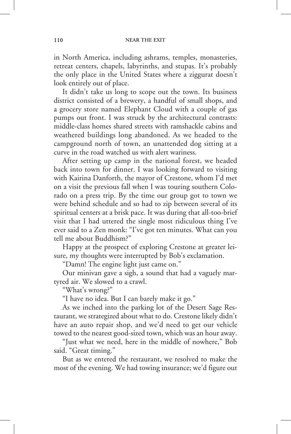in North America, including ashrams, temples, monasteries, retreat centers, chapels, labyrinths, and stupas. It's probably the only place in the United States where a ziggurat doesn't look entirely out of place.

It didn't take us long to scope out the town. Its business district consisted of a brewery, a handful of small shops, and a grocery store named Elephant Cloud with a couple of gas pumps out front. I was struck by the architectural contrasts: middle-class homes shared streets with ramshackle cabins and weathered buildings long abandoned. As we headed to the campground north of town, an unattended dog sitting at a curve in the road watched us with alert wariness.

After setting up camp in the national forest, we headed back into town for dinner. I was looking forward to visiting with Kairina Danforth, the mayor of Crestone, whom I'd met on a visit the previous fall when I was touring southern Colorado on a press trip. By the time our group got to town we were behind schedule and so had to zip between several of its spiritual centers at a brisk pace. It was during that all-too-brief visit that I had uttered the single most ridiculous thing I've ever said to a Zen monk: "I've got ten minutes. What can you tell me about Buddhism?"

Happy at the prospect of exploring Crestone at greater leisure, my thoughts were interrupted by Bob's exclamation.

"Damn! The engine light just came on."

Our minivan gave a sigh, a sound that had a vaguely martyred air. We slowed to a crawl.

"What's wrong?"

"I have no idea. But I can barely make it go."

As we inched into the parking lot of the Desert Sage Restaurant, we strategized about what to do. Crestone likely didn't have an auto repair shop, and we'd need to get our vehicle towed to the nearest good-sized town, which was an hour away.

"Just what we need, here in the middle of nowhere," Bob said. "Great timing."

But as we entered the restaurant, we resolved to make the most of the evening. We had towing insurance; we'd figure out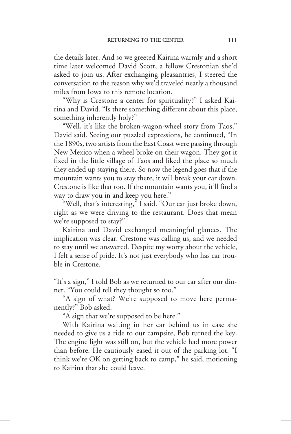the details later. And so we greeted Kairina warmly and a short time later welcomed David Scott, a fellow Crestonian she'd asked to join us. After exchanging pleasantries, I steered the conversation to the reason why we'd traveled nearly a thousand miles from Iowa to this remote location.

"Why is Crestone a center for spirituality?" I asked Kairina and David. "Is there something different about this place, something inherently holy?"

"Well, it's like the broken-wagon-wheel story from Taos," David said. Seeing our puzzled expressions, he continued, "In the 1890s, two artists from the East Coast were passing through New Mexico when a wheel broke on their wagon. They got it fixed in the little village of Taos and liked the place so much they ended up staying there. So now the legend goes that if the mountain wants you to stay there, it will break your car down. Crestone is like that too. If the mountain wants you, it'll find a way to draw you in and keep you here."

"Well, that's interesting," I said. "Our car just broke down, right as we were driving to the restaurant. Does that mean we're supposed to stay?"

Kairina and David exchanged meaningful glances. The implication was clear. Crestone was calling us, and we needed to stay until we answered. Despite my worry about the vehicle, I felt a sense of pride. It's not just everybody who has car trouble in Crestone.

"It's a sign," I told Bob as we returned to our car after our dinner. "You could tell they thought so too."

"A sign of what? We're supposed to move here permanently?" Bob asked.

"A sign that we're supposed to be here."

With Kairina waiting in her car behind us in case she needed to give us a ride to our campsite, Bob turned the key. The engine light was still on, but the vehicle had more power than before. He cautiously eased it out of the parking lot. "I think we're OK on getting back to camp," he said, motioning to Kairina that she could leave.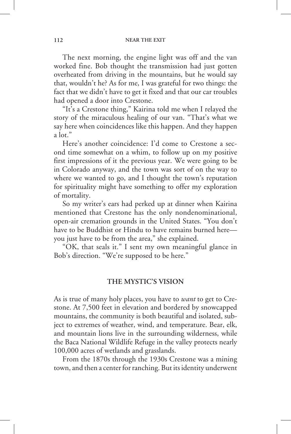The next morning, the engine light was off and the van worked fine. Bob thought the transmission had just gotten overheated from driving in the mountains, but he would say that, wouldn't he? As for me, I was grateful for two things: the fact that we didn't have to get it fixed and that our car troubles had opened a door into Crestone.

"It's a Crestone thing," Kairina told me when I relayed the story of the miraculous healing of our van. "That's what we say here when coincidences like this happen. And they happen a lot."

Here's another coincidence: I'd come to Crestone a second time somewhat on a whim, to follow up on my positive first impressions of it the previous year. We were going to be in Colorado anyway, and the town was sort of on the way to where we wanted to go, and I thought the town's reputation for spirituality might have something to offer my exploration of mortality.

So my writer's ears had perked up at dinner when Kairina mentioned that Crestone has the only nondenominational, open-air cremation grounds in the United States. "You don't have to be Buddhist or Hindu to have remains burned here you just have to be from the area," she explained.

"OK, that seals it." I sent my own meaningful glance in Bob's direction. "We're supposed to be here."

#### **THE MYSTIC'S VISION**

As is true of many holy places, you have to *want* to get to Crestone. At 7,500 feet in elevation and bordered by snowcapped mountains, the community is both beautiful and isolated, subject to extremes of weather, wind, and temperature. Bear, elk, and mountain lions live in the surrounding wilderness, while the Baca National Wildlife Refuge in the valley protects nearly 100,000 acres of wetlands and grasslands.

From the 1870s through the 1930s Crestone was a mining town, and then a center for ranching. But its identity underwent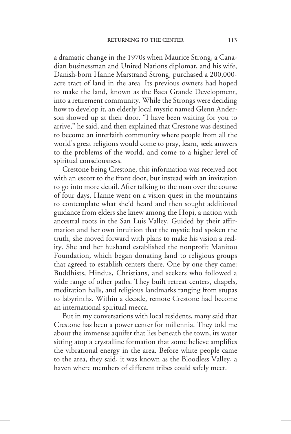a dramatic change in the 1970s when Maurice Strong, a Canadian businessman and United Nations diplomat, and his wife, Danish-born Hanne Marstrand Strong, purchased a 200,000 acre tract of land in the area. Its previous owners had hoped to make the land, known as the Baca Grande Development, into a retirement community. While the Strongs were deciding how to develop it, an elderly local mystic named Glenn Anderson showed up at their door. "I have been waiting for you to arrive," he said, and then explained that Crestone was destined to become an interfaith community where people from all the world's great religions would come to pray, learn, seek answers to the problems of the world, and come to a higher level of spiritual consciousness.

Crestone being Crestone, this information was received not with an escort to the front door, but instead with an invitation to go into more detail. After talking to the man over the course of four days, Hanne went on a vision quest in the mountains to contemplate what she'd heard and then sought additional guidance from elders she knew among the Hopi, a nation with ancestral roots in the San Luis Valley. Guided by their affirmation and her own intuition that the mystic had spoken the truth, she moved forward with plans to make his vision a reality. She and her husband established the nonprofit Manitou Foundation, which began donating land to religious groups that agreed to establish centers there. One by one they came: Buddhists, Hindus, Christians, and seekers who followed a wide range of other paths. They built retreat centers, chapels, meditation halls, and religious landmarks ranging from stupas to labyrinths. Within a decade, remote Crestone had become an international spiritual mecca.

But in my conversations with local residents, many said that Crestone has been a power center for millennia. They told me about the immense aquifer that lies beneath the town, its water sitting atop a crystalline formation that some believe amplifies the vibrational energy in the area. Before white people came to the area, they said, it was known as the Bloodless Valley, a haven where members of different tribes could safely meet.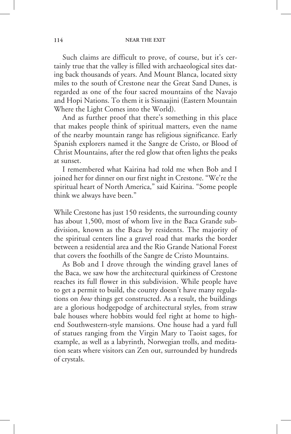Such claims are difficult to prove, of course, but it's certainly true that the valley is filled with archaeological sites dating back thousands of years. And Mount Blanca, located sixty miles to the south of Crestone near the Great Sand Dunes, is regarded as one of the four sacred mountains of the Navajo and Hopi Nations. To them it is Sisnaajini (Eastern Mountain Where the Light Comes into the World).

And as further proof that there's something in this place that makes people think of spiritual matters, even the name of the nearby mountain range has religious significance. Early Spanish explorers named it the Sangre de Cristo, or Blood of Christ Mountains, after the red glow that often lights the peaks at sunset.

I remembered what Kairina had told me when Bob and I joined her for dinner on our first night in Crestone. "We're the spiritual heart of North America," said Kairina. "Some people think we always have been."

While Crestone has just 150 residents, the surrounding county has about 1,500, most of whom live in the Baca Grande subdivision, known as the Baca by residents. The majority of the spiritual centers line a gravel road that marks the border between a residential area and the Rio Grande National Forest that covers the foothills of the Sangre de Cristo Mountains.

As Bob and I drove through the winding gravel lanes of the Baca, we saw how the architectural quirkiness of Crestone reaches its full flower in this subdivision. While people have to get a permit to build, the county doesn't have many regulations on *how* things get constructed. As a result, the buildings are a glorious hodgepodge of architectural styles, from straw bale houses where hobbits would feel right at home to highend Southwestern-style mansions. One house had a yard full of statues ranging from the Virgin Mary to Taoist sages, for example, as well as a labyrinth, Norwegian trolls, and meditation seats where visitors can Zen out, surrounded by hundreds of crystals.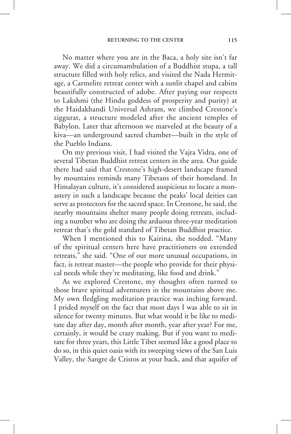No matter where you are in the Baca, a holy site isn't far away. We did a circumambulation of a Buddhist stupa, a tall structure filled with holy relics, and visited the Nada Hermitage, a Carmelite retreat center with a sunlit chapel and cabins beautifully constructed of adobe. After paying our respects to Lakshmi (the Hindu goddess of prosperity and purity) at the Haidakhandi Universal Ashram, we climbed Crestone's ziggurat, a structure modeled after the ancient temples of Babylon. Later that afternoon we marveled at the beauty of a kiva—an underground sacred chamber—built in the style of the Pueblo Indians.

On my previous visit, I had visited the Vajra Vidra, one of several Tibetan Buddhist retreat centers in the area. Our guide there had said that Crestone's high-desert landscape framed by mountains reminds many Tibetans of their homeland. In Himalayan culture, it's considered auspicious to locate a monastery in such a landscape because the peaks' local deities can serve as protectors for the sacred space. In Crestone, he said, the nearby mountains shelter many people doing retreats, including a number who are doing the arduous three-year meditation retreat that's the gold standard of Tibetan Buddhist practice.

When I mentioned this to Kairina, she nodded. "Many of the spiritual centers here have practitioners on extended retreats," she said. "One of our more unusual occupations, in fact, is retreat master—the people who provide for their physical needs while they're meditating, like food and drink."

As we explored Crestone, my thoughts often turned to those brave spiritual adventurers in the mountains above me. My own fledgling meditation practice was inching forward. I prided myself on the fact that most days I was able to sit in silence for twenty minutes. But what would it be like to meditate day after day, month after month, year after year? For me, certainly, it would be crazy making. But if you want to meditate for three years, this Little Tibet seemed like a good place to do so, in this quiet oasis with its sweeping views of the San Luis Valley, the Sangre de Cristos at your back, and that aquifer of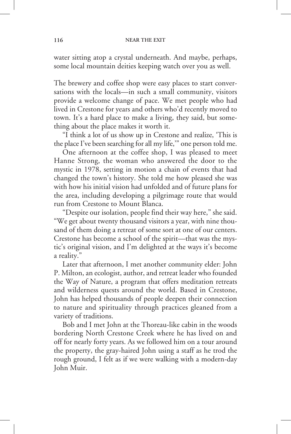water sitting atop a crystal underneath. And maybe, perhaps, some local mountain deities keeping watch over you as well.

The brewery and coffee shop were easy places to start conversations with the locals—in such a small community, visitors provide a welcome change of pace. We met people who had lived in Crestone for years and others who'd recently moved to town. It's a hard place to make a living, they said, but something about the place makes it worth it.

"I think a lot of us show up in Crestone and realize, 'This is the place I've been searching for all my life,'" one person told me.

One afternoon at the coffee shop, I was pleased to meet Hanne Strong, the woman who answered the door to the mystic in 1978, setting in motion a chain of events that had changed the town's history. She told me how pleased she was with how his initial vision had unfolded and of future plans for the area, including developing a pilgrimage route that would run from Crestone to Mount Blanca.

"Despite our isolation, people find their way here," she said. "We get about twenty thousand visitors a year, with nine thousand of them doing a retreat of some sort at one of our centers. Crestone has become a school of the spirit—that was the mystic's original vision, and I'm delighted at the ways it's become a reality."

Later that afternoon, I met another community elder: John P. Milton, an ecologist, author, and retreat leader who founded the Way of Nature, a program that offers meditation retreats and wilderness quests around the world. Based in Crestone, John has helped thousands of people deepen their connection to nature and spirituality through practices gleaned from a variety of traditions.

Bob and I met John at the Thoreau-like cabin in the woods bordering North Crestone Creek where he has lived on and off for nearly forty years. As we followed him on a tour around the property, the gray-haired John using a staff as he trod the rough ground, I felt as if we were walking with a modern-day John Muir.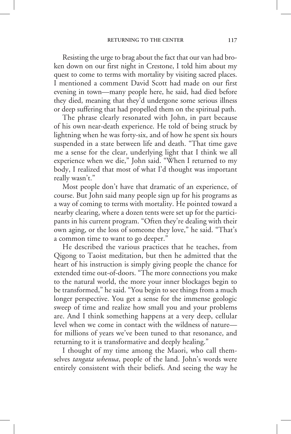Resisting the urge to brag about the fact that our van had broken down on our first night in Crestone, I told him about my quest to come to terms with mortality by visiting sacred places. I mentioned a comment David Scott had made on our first evening in town—many people here, he said, had died before they died, meaning that they'd undergone some serious illness or deep suffering that had propelled them on the spiritual path.

The phrase clearly resonated with John, in part because of his own near-death experience. He told of being struck by lightning when he was forty-six, and of how he spent six hours suspended in a state between life and death. "That time gave me a sense for the clear, underlying light that I think we all experience when we die," John said. "When I returned to my body, I realized that most of what I'd thought was important really wasn't."

Most people don't have that dramatic of an experience, of course. But John said many people sign up for his programs as a way of coming to terms with mortality. He pointed toward a nearby clearing, where a dozen tents were set up for the participants in his current program. "Often they're dealing with their own aging, or the loss of someone they love," he said. "That's a common time to want to go deeper."

He described the various practices that he teaches, from Qigong to Taoist meditation, but then he admitted that the heart of his instruction is simply giving people the chance for extended time out-of-doors. "The more connections you make to the natural world, the more your inner blockages begin to be transformed," he said. "You begin to see things from a much longer perspective. You get a sense for the immense geologic sweep of time and realize how small you and your problems are. And I think something happens at a very deep, cellular level when we come in contact with the wildness of nature for millions of years we've been tuned to that resonance, and returning to it is transformative and deeply healing."

I thought of my time among the Maori, who call themselves *tangata whenua*, people of the land. John's words were entirely consistent with their beliefs. And seeing the way he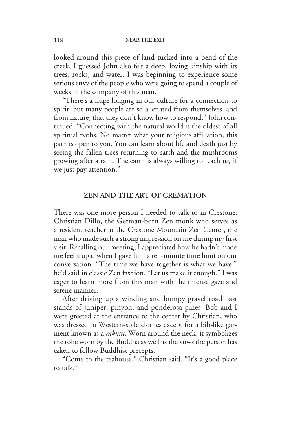looked around this piece of land tucked into a bend of the creek, I guessed John also felt a deep, loving kinship with its trees, rocks, and water. I was beginning to experience some serious envy of the people who were going to spend a couple of weeks in the company of this man.

"There's a huge longing in our culture for a connection to spirit, but many people are so alienated from themselves, and from nature, that they don't know how to respond," John continued. "Connecting with the natural world is the oldest of all spiritual paths. No matter what your religious affiliation, this path is open to you. You can learn about life and death just by seeing the fallen trees returning to earth and the mushrooms growing after a rain. The earth is always willing to teach us, if we just pay attention."

#### **ZEN AND THE ART OF CREMATION**

There was one more person I needed to talk to in Crestone: Christian Dillo, the German-born Zen monk who serves as a resident teacher at the Crestone Mountain Zen Center, the man who made such a strong impression on me during my first visit. Recalling our meeting, I appreciated how he hadn't made me feel stupid when I gave him a ten-minute time limit on our conversation. "The time we have together is what we have," he'd said in classic Zen fashion. "Let us make it enough." I was eager to learn more from this man with the intense gaze and serene manner.

After driving up a winding and bumpy gravel road past stands of juniper, pinyon, and ponderosa pines, Bob and I were greeted at the entrance to the center by Christian, who was dressed in Western-style clothes except for a bib-like garment known as a *rakusu*. Worn around the neck, it symbolizes the robe worn by the Buddha as well as the vows the person has taken to follow Buddhist precepts.

"Come to the teahouse," Christian said. "It's a good place to talk."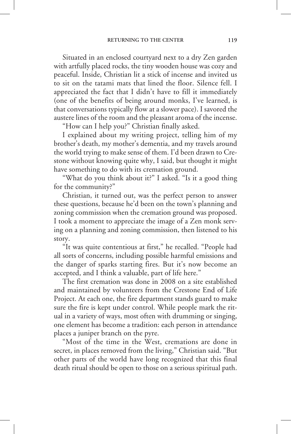Situated in an enclosed courtyard next to a dry Zen garden with artfully placed rocks, the tiny wooden house was cozy and peaceful. Inside, Christian lit a stick of incense and invited us to sit on the tatami mats that lined the floor. Silence fell. I appreciated the fact that I didn't have to fill it immediately (one of the benefits of being around monks, I've learned, is that conversations typically flow at a slower pace). I savored the austere lines of the room and the pleasant aroma of the incense.

"How can I help you?" Christian finally asked.

I explained about my writing project, telling him of my brother's death, my mother's dementia, and my travels around the world trying to make sense of them. I'd been drawn to Crestone without knowing quite why, I said, but thought it might have something to do with its cremation ground.

"What do you think about it?" I asked. "Is it a good thing for the community?"

Christian, it turned out, was the perfect person to answer these questions, because he'd been on the town's planning and zoning commission when the cremation ground was proposed. I took a moment to appreciate the image of a Zen monk serving on a planning and zoning commission, then listened to his story.

"It was quite contentious at first," he recalled. "People had all sorts of concerns, including possible harmful emissions and the danger of sparks starting fires. But it's now become an accepted, and I think a valuable, part of life here."

The first cremation was done in 2008 on a site established and maintained by volunteers from the Crestone End of Life Project. At each one, the fire department stands guard to make sure the fire is kept under control. While people mark the ritual in a variety of ways, most often with drumming or singing, one element has become a tradition: each person in attendance places a juniper branch on the pyre.

"Most of the time in the West, cremations are done in secret, in places removed from the living," Christian said. "But other parts of the world have long recognized that this final death ritual should be open to those on a serious spiritual path.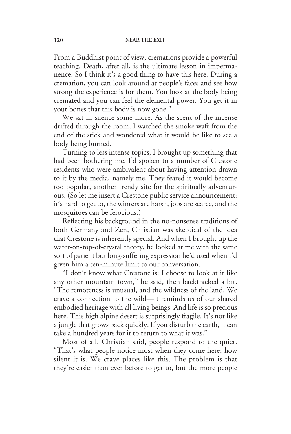From a Buddhist point of view, cremations provide a powerful teaching. Death, after all, is the ultimate lesson in impermanence. So I think it's a good thing to have this here. During a cremation, you can look around at people's faces and see how strong the experience is for them. You look at the body being cremated and you can feel the elemental power. You get it in your bones that this body is now gone."

We sat in silence some more. As the scent of the incense drifted through the room, I watched the smoke waft from the end of the stick and wondered what it would be like to see a body being burned.

Turning to less intense topics, I brought up something that had been bothering me. I'd spoken to a number of Crestone residents who were ambivalent about having attention drawn to it by the media, namely me. They feared it would become too popular, another trendy site for the spiritually adventurous. (So let me insert a Crestone public service announcement: it's hard to get to, the winters are harsh, jobs are scarce, and the mosquitoes can be ferocious.)

Reflecting his background in the no-nonsense traditions of both Germany and Zen, Christian was skeptical of the idea that Crestone is inherently special. And when I brought up the water-on-top-of-crystal theory, he looked at me with the same sort of patient but long-suffering expression he'd used when I'd given him a ten-minute limit to our conversation.

"I don't know what Crestone is; I choose to look at it like any other mountain town," he said, then backtracked a bit. "The remoteness is unusual, and the wildness of the land. We crave a connection to the wild—it reminds us of our shared embodied heritage with all living beings. And life is so precious here. This high alpine desert is surprisingly fragile. It's not like a jungle that grows back quickly. If you disturb the earth, it can take a hundred years for it to return to what it was."

Most of all, Christian said, people respond to the quiet. "That's what people notice most when they come here: how silent it is. We crave places like this. The problem is that they're easier than ever before to get to, but the more people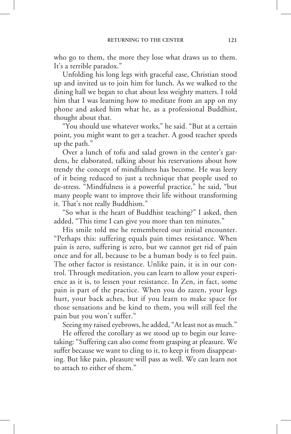who go to them, the more they lose what draws us to them. It's a terrible paradox."

Unfolding his long legs with graceful ease, Christian stood up and invited us to join him for lunch. As we walked to the dining hall we began to chat about less weighty matters. I told him that I was learning how to meditate from an app on my phone and asked him what he, as a professional Buddhist, thought about that.

"You should use whatever works," he said. "But at a certain point, you might want to get a teacher. A good teacher speeds up the path."

Over a lunch of tofu and salad grown in the center's gardens, he elaborated, talking about his reservations about how trendy the concept of mindfulness has become. He was leery of it being reduced to just a technique that people used to de-stress. "Mindfulness is a powerful practice," he said, "but many people want to improve their life without transforming it. That's not really Buddhism."

"So what is the heart of Buddhist teaching?" I asked, then added, "This time I can give you more than ten minutes."

His smile told me he remembered our initial encounter. "Perhaps this: suffering equals pain times resistance. When pain is zero, suffering is zero, but we cannot get rid of pain once and for all, because to be a human body is to feel pain. The other factor is resistance. Unlike pain, it is in our control. Through meditation, you can learn to allow your experience as it is, to lessen your resistance. In Zen, in fact, some pain is part of the practice. When you do zazen, your legs hurt, your back aches, but if you learn to make space for those sensations and be kind to them, you will still feel the pain but you won't suffer."

Seeing my raised eyebrows, he added, "At least not as much."

He offered the corollary as we stood up to begin our leavetaking: "Suffering can also come from grasping at pleasure. We suffer because we want to cling to it, to keep it from disappearing. But like pain, pleasure will pass as well. We can learn not to attach to either of them."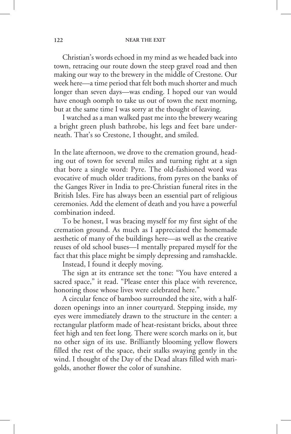Christian's words echoed in my mind as we headed back into town, retracing our route down the steep gravel road and then making our way to the brewery in the middle of Crestone. Our week here—a time period that felt both much shorter and much longer than seven days—was ending. I hoped our van would have enough oomph to take us out of town the next morning, but at the same time I was sorry at the thought of leaving.

I watched as a man walked past me into the brewery wearing a bright green plush bathrobe, his legs and feet bare underneath. That's so Crestone, I thought, and smiled.

In the late afternoon, we drove to the cremation ground, heading out of town for several miles and turning right at a sign that bore a single word: Pyre. The old-fashioned word was evocative of much older traditions, from pyres on the banks of the Ganges River in India to pre-Christian funeral rites in the British Isles. Fire has always been an essential part of religious ceremonies. Add the element of death and you have a powerful combination indeed.

To be honest, I was bracing myself for my first sight of the cremation ground. As much as I appreciated the homemade aesthetic of many of the buildings here—as well as the creative reuses of old school buses—I mentally prepared myself for the fact that this place might be simply depressing and ramshackle.

Instead, I found it deeply moving.

The sign at its entrance set the tone: "You have entered a sacred space," it read. "Please enter this place with reverence, honoring those whose lives were celebrated here."

A circular fence of bamboo surrounded the site, with a halfdozen openings into an inner courtyard. Stepping inside, my eyes were immediately drawn to the structure in the center: a rectangular platform made of heat-resistant bricks, about three feet high and ten feet long. There were scorch marks on it, but no other sign of its use. Brilliantly blooming yellow flowers filled the rest of the space, their stalks swaying gently in the wind. I thought of the Day of the Dead altars filled with marigolds, another flower the color of sunshine.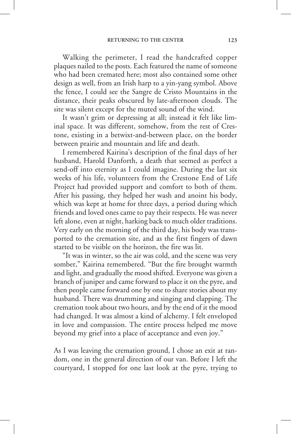Walking the perimeter, I read the handcrafted copper plaques nailed to the posts. Each featured the name of someone who had been cremated here; most also contained some other design as well, from an Irish harp to a yin-yang symbol. Above the fence, I could see the Sangre de Cristo Mountains in the distance, their peaks obscured by late-afternoon clouds. The site was silent except for the muted sound of the wind.

It wasn't grim or depressing at all; instead it felt like liminal space. It was different, somehow, from the rest of Crestone, existing in a betwixt-and-between place, on the border between prairie and mountain and life and death.

I remembered Kairina's description of the final days of her husband, Harold Danforth, a death that seemed as perfect a send-off into eternity as I could imagine. During the last six weeks of his life, volunteers from the Crestone End of Life Project had provided support and comfort to both of them. After his passing, they helped her wash and anoint his body, which was kept at home for three days, a period during which friends and loved ones came to pay their respects. He was never left alone, even at night, harking back to much older traditions. Very early on the morning of the third day, his body was transported to the cremation site, and as the first fingers of dawn started to be visible on the horizon, the fire was lit.

"It was in winter, so the air was cold, and the scene was very somber," Kairina remembered. "But the fire brought warmth and light, and gradually the mood shifted. Everyone was given a branch of juniper and came forward to place it on the pyre, and then people came forward one by one to share stories about my husband. There was drumming and singing and clapping. The cremation took about two hours, and by the end of it the mood had changed. It was almost a kind of alchemy. I felt enveloped in love and compassion. The entire process helped me move beyond my grief into a place of acceptance and even joy."

As I was leaving the cremation ground, I chose an exit at random, one in the general direction of our van. Before I left the courtyard, I stopped for one last look at the pyre, trying to